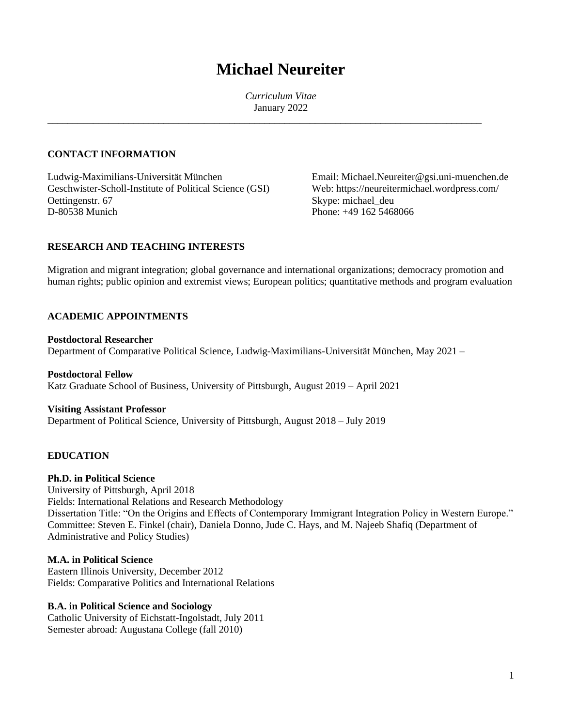# **Michael Neureiter**

*Curriculum Vitae* January 2022

\_\_\_\_\_\_\_\_\_\_\_\_\_\_\_\_\_\_\_\_\_\_\_\_\_\_\_\_\_\_\_\_\_\_\_\_\_\_\_\_\_\_\_\_\_\_\_\_\_\_\_\_\_\_\_\_\_\_\_\_\_\_\_\_\_\_\_\_\_\_\_\_\_\_\_\_\_\_\_\_\_\_\_\_\_\_

# **CONTACT INFORMATION**

Ludwig-Maximilians-Universität München Email: Michael.Neureiter@gsi.uni-muenchen.de Geschwister-Scholl-Institute of Political Science (GSI) Web: https://neureitermichael.wordpress.com/ Oettingenstr. 67<br>
D-80538 Munich<br>
D-80538 Munich<br>
Phone: +49 162 5468

Phone: +49 162 5468066

# **RESEARCH AND TEACHING INTERESTS**

Migration and migrant integration; global governance and international organizations; democracy promotion and human rights; public opinion and extremist views; European politics; quantitative methods and program evaluation

#### **ACADEMIC APPOINTMENTS**

#### **Postdoctoral Researcher** Department of Comparative Political Science, Ludwig-Maximilians-Universität München, May 2021 –

**Postdoctoral Fellow** Katz Graduate School of Business, University of Pittsburgh, August 2019 – April 2021

# **Visiting Assistant Professor**

Department of Political Science, University of Pittsburgh, August 2018 – July 2019

## **EDUCATION**

# **Ph.D. in Political Science**

University of Pittsburgh, April 2018 Fields: International Relations and Research Methodology Dissertation Title: "On the Origins and Effects of Contemporary Immigrant Integration Policy in Western Europe." Committee: Steven E. Finkel (chair), Daniela Donno, Jude C. Hays, and M. Najeeb Shafiq (Department of Administrative and Policy Studies)

#### **M.A. in Political Science**

Eastern Illinois University, December 2012 Fields: Comparative Politics and International Relations

## **B.A. in Political Science and Sociology**

Catholic University of Eichstatt-Ingolstadt, July 2011 Semester abroad: Augustana College (fall 2010)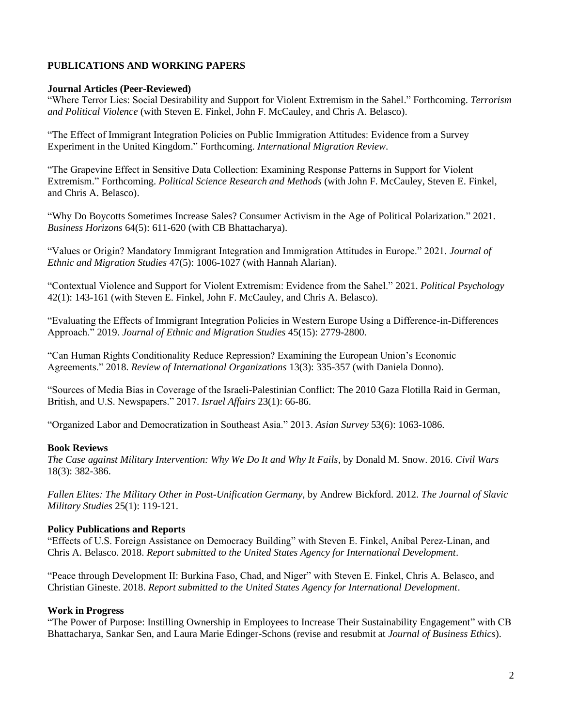# **PUBLICATIONS AND WORKING PAPERS**

# **Journal Articles (Peer-Reviewed)**

"Where Terror Lies: Social Desirability and Support for Violent Extremism in the Sahel." Forthcoming. *Terrorism and Political Violence* (with Steven E. Finkel, John F. McCauley, and Chris A. Belasco).

"The Effect of Immigrant Integration Policies on Public Immigration Attitudes: Evidence from a Survey Experiment in the United Kingdom." Forthcoming. *International Migration Review*.

"The Grapevine Effect in Sensitive Data Collection: Examining Response Patterns in Support for Violent Extremism." Forthcoming. *Political Science Research and Methods* (with John F. McCauley, Steven E. Finkel, and Chris A. Belasco).

"Why Do Boycotts Sometimes Increase Sales? Consumer Activism in the Age of Political Polarization." 2021. *Business Horizons* 64(5): 611-620 (with CB Bhattacharya).

"Values or Origin? Mandatory Immigrant Integration and Immigration Attitudes in Europe." 2021. *Journal of Ethnic and Migration Studies* 47(5): 1006-1027 (with Hannah Alarian).

"Contextual Violence and Support for Violent Extremism: Evidence from the Sahel." 2021. *Political Psychology* 42(1): 143-161 (with Steven E. Finkel, John F. McCauley, and Chris A. Belasco).

"Evaluating the Effects of Immigrant Integration Policies in Western Europe Using a Difference-in-Differences Approach." 2019. *Journal of Ethnic and Migration Studies* 45(15): 2779-2800.

"Can Human Rights Conditionality Reduce Repression? Examining the European Union's Economic Agreements." 2018. *Review of International Organizations* 13(3): 335-357 (with Daniela Donno).

"Sources of Media Bias in Coverage of the Israeli-Palestinian Conflict: The 2010 Gaza Flotilla Raid in German, British, and U.S. Newspapers." 2017. *Israel Affairs* 23(1): 66-86.

"Organized Labor and Democratization in Southeast Asia." 2013. *Asian Survey* 53(6): 1063-1086.

## **Book Reviews**

*The Case against Military Intervention: Why We Do It and Why It Fails*, by Donald M. Snow. 2016. *Civil Wars* 18(3): 382-386.

*Fallen Elites: The Military Other in Post-Unification Germany*, by Andrew Bickford. 2012. *The Journal of Slavic Military Studies* 25(1): 119-121.

## **Policy Publications and Reports**

"Effects of U.S. Foreign Assistance on Democracy Building" with Steven E. Finkel, Anibal Perez-Linan, and Chris A. Belasco. 2018. *Report submitted to the United States Agency for International Development*.

"Peace through Development II: Burkina Faso, Chad, and Niger" with Steven E. Finkel, Chris A. Belasco, and Christian Gineste. 2018. *Report submitted to the United States Agency for International Development*.

## **Work in Progress**

"The Power of Purpose: Instilling Ownership in Employees to Increase Their Sustainability Engagement" with CB Bhattacharya, Sankar Sen, and Laura Marie Edinger-Schons (revise and resubmit at *Journal of Business Ethics*).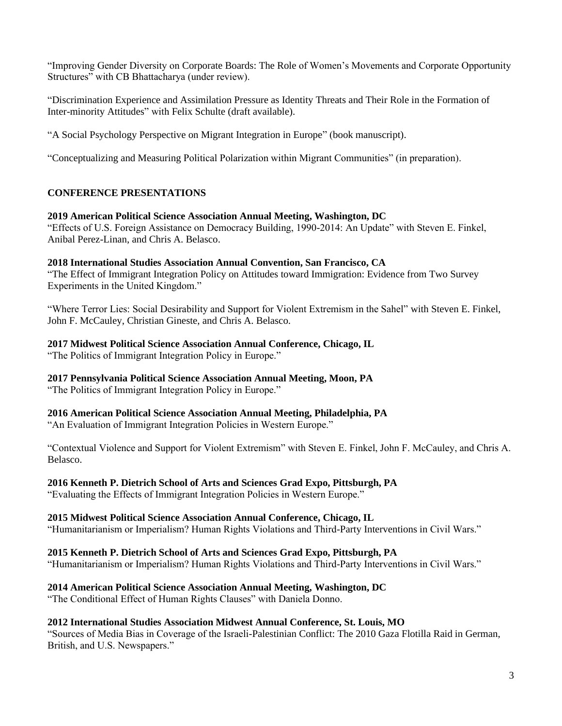"Improving Gender Diversity on Corporate Boards: The Role of Women's Movements and Corporate Opportunity Structures" with CB Bhattacharya (under review).

"Discrimination Experience and Assimilation Pressure as Identity Threats and Their Role in the Formation of Inter-minority Attitudes" with Felix Schulte (draft available).

"A Social Psychology Perspective on Migrant Integration in Europe" (book manuscript).

"Conceptualizing and Measuring Political Polarization within Migrant Communities" (in preparation).

# **CONFERENCE PRESENTATIONS**

## **2019 American Political Science Association Annual Meeting, Washington, DC**

"Effects of U.S. Foreign Assistance on Democracy Building, 1990-2014: An Update" with Steven E. Finkel, Anibal Perez-Linan, and Chris A. Belasco.

#### **2018 International Studies Association Annual Convention, San Francisco, CA**

"The Effect of Immigrant Integration Policy on Attitudes toward Immigration: Evidence from Two Survey Experiments in the United Kingdom."

"Where Terror Lies: Social Desirability and Support for Violent Extremism in the Sahel" with Steven E. Finkel, John F. McCauley, Christian Gineste, and Chris A. Belasco.

#### **2017 Midwest Political Science Association Annual Conference, Chicago, IL**

"The Politics of Immigrant Integration Policy in Europe."

## **2017 Pennsylvania Political Science Association Annual Meeting, Moon, PA**

"The Politics of Immigrant Integration Policy in Europe."

## **2016 American Political Science Association Annual Meeting, Philadelphia, PA**

"An Evaluation of Immigrant Integration Policies in Western Europe."

"Contextual Violence and Support for Violent Extremism" with Steven E. Finkel, John F. McCauley, and Chris A. Belasco.

## **2016 Kenneth P. Dietrich School of Arts and Sciences Grad Expo, Pittsburgh, PA**

"Evaluating the Effects of Immigrant Integration Policies in Western Europe."

## **2015 Midwest Political Science Association Annual Conference, Chicago, IL**

"Humanitarianism or Imperialism? Human Rights Violations and Third-Party Interventions in Civil Wars."

## **2015 Kenneth P. Dietrich School of Arts and Sciences Grad Expo, Pittsburgh, PA**

"Humanitarianism or Imperialism? Human Rights Violations and Third-Party Interventions in Civil Wars."

## **2014 American Political Science Association Annual Meeting, Washington, DC**

"The Conditional Effect of Human Rights Clauses" with Daniela Donno.

## **2012 International Studies Association Midwest Annual Conference, St. Louis, MO**

"Sources of Media Bias in Coverage of the Israeli-Palestinian Conflict: The 2010 Gaza Flotilla Raid in German, British, and U.S. Newspapers."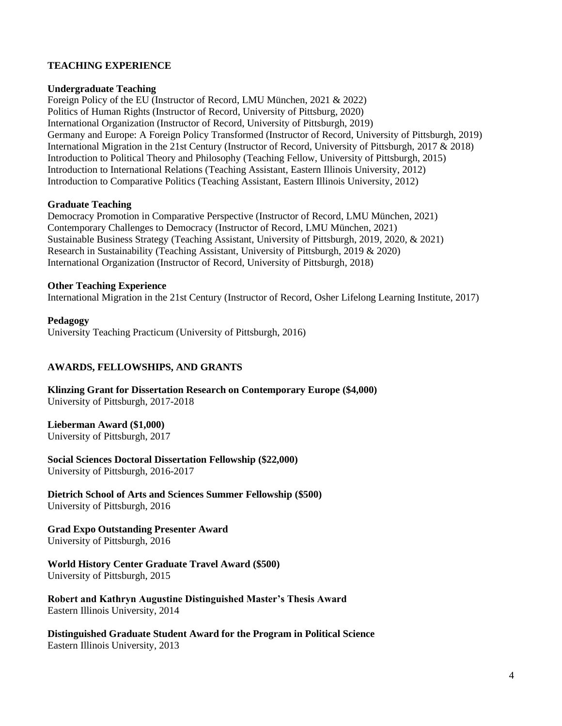# **TEACHING EXPERIENCE**

#### **Undergraduate Teaching**

Foreign Policy of the EU (Instructor of Record, LMU München, 2021 & 2022) Politics of Human Rights (Instructor of Record, University of Pittsburg, 2020) International Organization (Instructor of Record, University of Pittsburgh, 2019) Germany and Europe: A Foreign Policy Transformed (Instructor of Record, University of Pittsburgh, 2019) International Migration in the 21st Century (Instructor of Record, University of Pittsburgh, 2017 & 2018) Introduction to Political Theory and Philosophy (Teaching Fellow, University of Pittsburgh, 2015) Introduction to International Relations (Teaching Assistant, Eastern Illinois University, 2012) Introduction to Comparative Politics (Teaching Assistant, Eastern Illinois University, 2012)

#### **Graduate Teaching**

Democracy Promotion in Comparative Perspective (Instructor of Record, LMU München, 2021) Contemporary Challenges to Democracy (Instructor of Record, LMU München, 2021) Sustainable Business Strategy (Teaching Assistant, University of Pittsburgh, 2019, 2020, & 2021) Research in Sustainability (Teaching Assistant, University of Pittsburgh, 2019 & 2020) International Organization (Instructor of Record, University of Pittsburgh, 2018)

#### **Other Teaching Experience**

International Migration in the 21st Century (Instructor of Record, Osher Lifelong Learning Institute, 2017)

#### **Pedagogy** University Teaching Practicum (University of Pittsburgh, 2016)

## **AWARDS, FELLOWSHIPS, AND GRANTS**

**Klinzing Grant for Dissertation Research on Contemporary Europe (\$4,000)** University of Pittsburgh, 2017-2018

#### **Lieberman Award (\$1,000)**

University of Pittsburgh, 2017

**Social Sciences Doctoral Dissertation Fellowship (\$22,000)** University of Pittsburgh, 2016-2017

**Dietrich School of Arts and Sciences Summer Fellowship (\$500)** University of Pittsburgh, 2016

# **Grad Expo Outstanding Presenter Award**

University of Pittsburgh, 2016

**World History Center Graduate Travel Award (\$500)** University of Pittsburgh, 2015

**Robert and Kathryn Augustine Distinguished Master's Thesis Award** Eastern Illinois University, 2014

**Distinguished Graduate Student Award for the Program in Political Science** Eastern Illinois University, 2013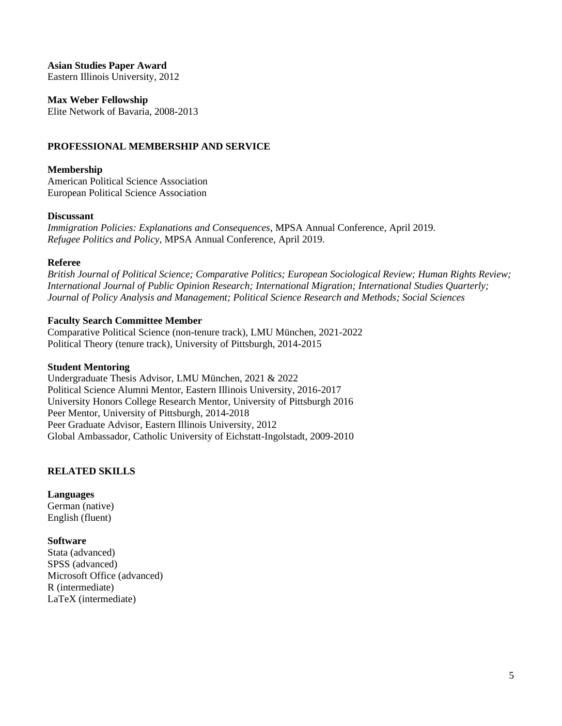**Asian Studies Paper Award**

Eastern Illinois University, 2012

**Max Weber Fellowship**

Elite Network of Bavaria, 2008-2013

# **PROFESSIONAL MEMBERSHIP AND SERVICE**

#### **Membership**

American Political Science Association European Political Science Association

#### **Discussant**

*Immigration Policies: Explanations and Consequences*, MPSA Annual Conference, April 2019. *Refugee Politics and Policy*, MPSA Annual Conference, April 2019.

#### **Referee**

*British Journal of Political Science; Comparative Politics; European Sociological Review; Human Rights Review; International Journal of Public Opinion Research; International Migration; International Studies Quarterly; Journal of Policy Analysis and Management; Political Science Research and Methods; Social Sciences*

## **Faculty Search Committee Member**

Comparative Political Science (non-tenure track), LMU München, 2021-2022 Political Theory (tenure track), University of Pittsburgh, 2014-2015

#### **Student Mentoring**

Undergraduate Thesis Advisor, LMU München, 2021 & 2022 Political Science Alumni Mentor, Eastern Illinois University, 2016-2017 University Honors College Research Mentor, University of Pittsburgh 2016 Peer Mentor, University of Pittsburgh, 2014-2018 Peer Graduate Advisor, Eastern Illinois University, 2012 Global Ambassador, Catholic University of Eichstatt-Ingolstadt, 2009-2010

# **RELATED SKILLS**

**Languages** German (native) English (fluent)

# **Software**

Stata (advanced) SPSS (advanced) Microsoft Office (advanced) R (intermediate) LaTeX (intermediate)